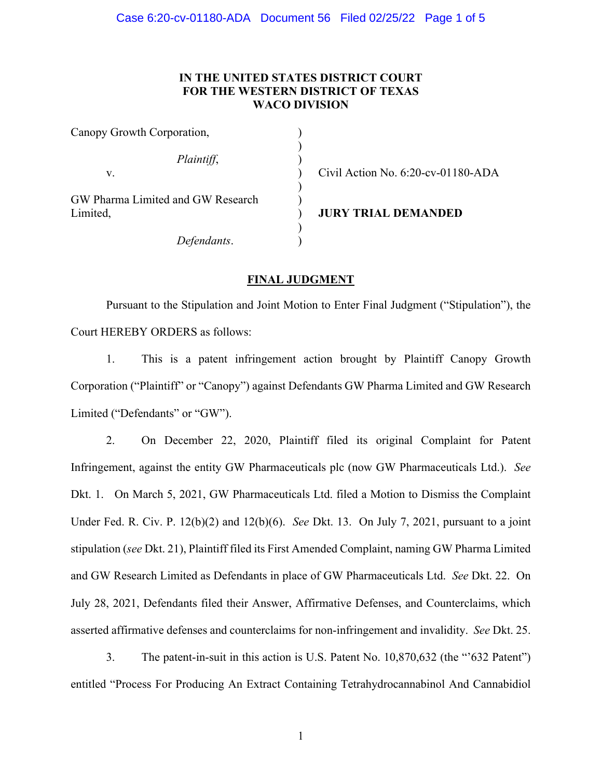## **IN THE UNITED STATES DISTRICT COURT FOR THE WESTERN DISTRICT OF TEXAS WACO DIVISION**

| Canopy Growth Corporation,                    |  |
|-----------------------------------------------|--|
| Plaintiff,                                    |  |
| V.                                            |  |
| GW Pharma Limited and GW Research<br>Limited, |  |
| Defendants.                                   |  |

Civil Action No. 6:20-cv-01180-ADA

**JURY TRIAL DEMANDED** 

### **FINAL JUDGMENT**

Pursuant to the Stipulation and Joint Motion to Enter Final Judgment ("Stipulation"), the Court HEREBY ORDERS as follows:

1. This is a patent infringement action brought by Plaintiff Canopy Growth Corporation ("Plaintiff" or "Canopy") against Defendants GW Pharma Limited and GW Research Limited ("Defendants" or "GW").

2. On December 22, 2020, Plaintiff filed its original Complaint for Patent Infringement, against the entity GW Pharmaceuticals plc (now GW Pharmaceuticals Ltd.). *See*  Dkt. 1. On March 5, 2021, GW Pharmaceuticals Ltd. filed a Motion to Dismiss the Complaint Under Fed. R. Civ. P. 12(b)(2) and 12(b)(6). *See* Dkt. 13. On July 7, 2021, pursuant to a joint stipulation (*see* Dkt. 21), Plaintiff filed its First Amended Complaint, naming GW Pharma Limited and GW Research Limited as Defendants in place of GW Pharmaceuticals Ltd. *See* Dkt. 22. On July 28, 2021, Defendants filed their Answer, Affirmative Defenses, and Counterclaims, which asserted affirmative defenses and counterclaims for non-infringement and invalidity. *See* Dkt. 25.

3. The patent-in-suit in this action is U.S. Patent No. 10,870,632 (the "'632 Patent") entitled "Process For Producing An Extract Containing Tetrahydrocannabinol And Cannabidiol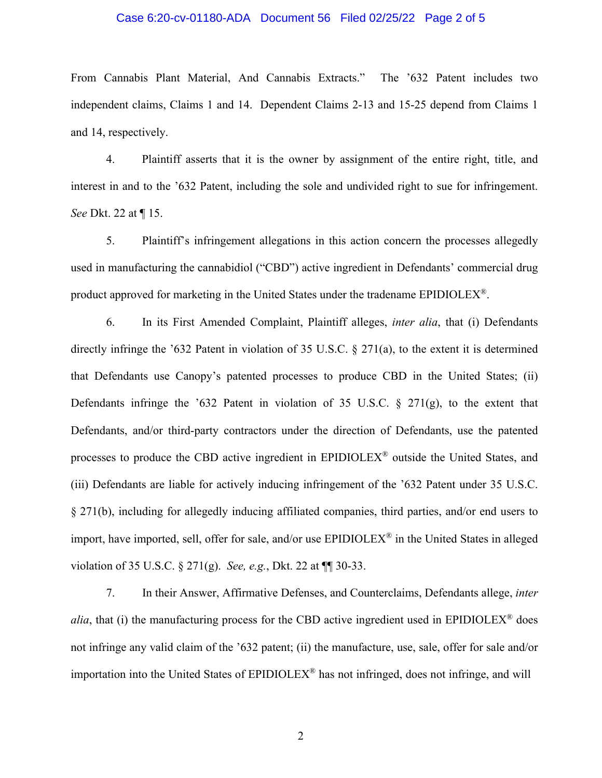#### Case 6:20-cv-01180-ADA Document 56 Filed 02/25/22 Page 2 of 5

From Cannabis Plant Material, And Cannabis Extracts." The '632 Patent includes two independent claims, Claims 1 and 14. Dependent Claims 2-13 and 15-25 depend from Claims 1 and 14, respectively.

4. Plaintiff asserts that it is the owner by assignment of the entire right, title, and interest in and to the '632 Patent, including the sole and undivided right to sue for infringement. *See* Dkt. 22 at ¶ 15.

5. Plaintiff's infringement allegations in this action concern the processes allegedly used in manufacturing the cannabidiol ("CBD") active ingredient in Defendants' commercial drug product approved for marketing in the United States under the tradename EPIDIOLEX®.

6. In its First Amended Complaint, Plaintiff alleges, *inter alia*, that (i) Defendants directly infringe the '632 Patent in violation of 35 U.S.C. § 271(a), to the extent it is determined that Defendants use Canopy's patented processes to produce CBD in the United States; (ii) Defendants infringe the '632 Patent in violation of 35 U.S.C.  $\S$  271(g), to the extent that Defendants, and/or third-party contractors under the direction of Defendants, use the patented processes to produce the CBD active ingredient in EPIDIOLEX® outside the United States, and (iii) Defendants are liable for actively inducing infringement of the '632 Patent under 35 U.S.C. § 271(b), including for allegedly inducing affiliated companies, third parties, and/or end users to import, have imported, sell, offer for sale, and/or use EPIDIOLEX® in the United States in alleged violation of 35 U.S.C. § 271(g). *See, e.g.*, Dkt. 22 at ¶¶ 30-33.

7. In their Answer, Affirmative Defenses, and Counterclaims, Defendants allege, *inter alia*, that (i) the manufacturing process for the CBD active ingredient used in EPIDIOLEX<sup>®</sup> does not infringe any valid claim of the '632 patent; (ii) the manufacture, use, sale, offer for sale and/or importation into the United States of EPIDIOLEX® has not infringed, does not infringe, and will

2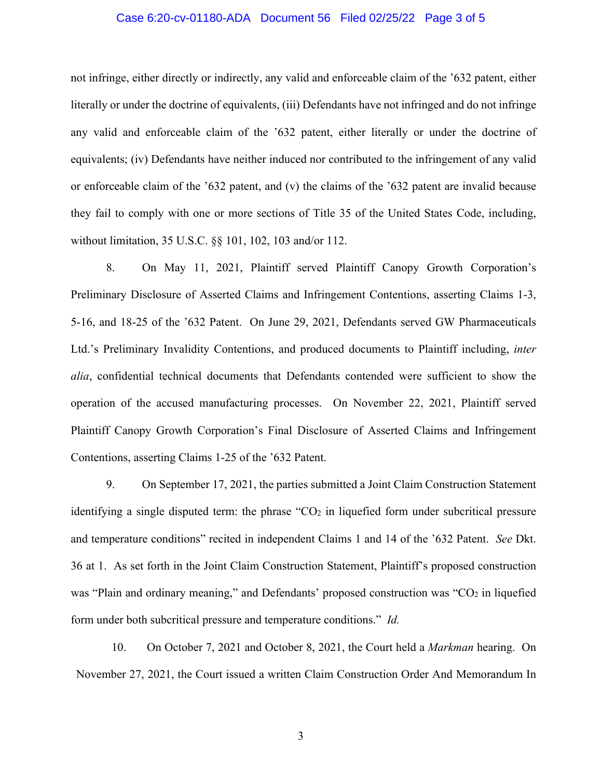#### Case 6:20-cv-01180-ADA Document 56 Filed 02/25/22 Page 3 of 5

not infringe, either directly or indirectly, any valid and enforceable claim of the '632 patent, either literally or under the doctrine of equivalents, (iii) Defendants have not infringed and do not infringe any valid and enforceable claim of the '632 patent, either literally or under the doctrine of equivalents; (iv) Defendants have neither induced nor contributed to the infringement of any valid or enforceable claim of the '632 patent, and (v) the claims of the '632 patent are invalid because they fail to comply with one or more sections of Title 35 of the United States Code, including, without limitation, 35 U.S.C. §§ 101, 102, 103 and/or 112.

8. On May 11, 2021, Plaintiff served Plaintiff Canopy Growth Corporation's Preliminary Disclosure of Asserted Claims and Infringement Contentions, asserting Claims 1-3, 5-16, and 18-25 of the '632 Patent. On June 29, 2021, Defendants served GW Pharmaceuticals Ltd.'s Preliminary Invalidity Contentions, and produced documents to Plaintiff including, *inter alia*, confidential technical documents that Defendants contended were sufficient to show the operation of the accused manufacturing processes. On November 22, 2021, Plaintiff served Plaintiff Canopy Growth Corporation's Final Disclosure of Asserted Claims and Infringement Contentions, asserting Claims 1-25 of the '632 Patent.

9. On September 17, 2021, the parties submitted a Joint Claim Construction Statement identifying a single disputed term: the phrase " $CO<sub>2</sub>$  in liquefied form under subcritical pressure and temperature conditions" recited in independent Claims 1 and 14 of the '632 Patent. *See* Dkt. 36 at 1. As set forth in the Joint Claim Construction Statement, Plaintiff's proposed construction was "Plain and ordinary meaning," and Defendants' proposed construction was "CO2 in liquefied form under both subcritical pressure and temperature conditions." *Id.*

10. On October 7, 2021 and October 8, 2021, the Court held a *Markman* hearing. On November 27, 2021, the Court issued a written Claim Construction Order And Memorandum In

3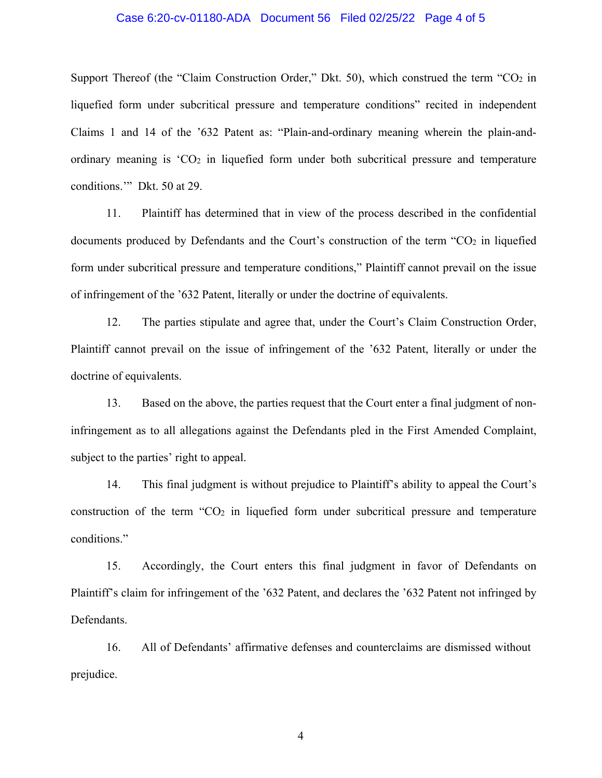#### Case 6:20-cv-01180-ADA Document 56 Filed 02/25/22 Page 4 of 5

Support Thereof (the "Claim Construction Order," Dkt. 50), which construed the term "CO<sub>2</sub> in liquefied form under subcritical pressure and temperature conditions" recited in independent Claims 1 and 14 of the '632 Patent as: "Plain-and-ordinary meaning wherein the plain-andordinary meaning is  $^{\circ}CO_{2}$  in liquefied form under both subcritical pressure and temperature conditions.'" Dkt. 50 at 29.

11. Plaintiff has determined that in view of the process described in the confidential documents produced by Defendants and the Court's construction of the term "CO2 in liquefied form under subcritical pressure and temperature conditions," Plaintiff cannot prevail on the issue of infringement of the '632 Patent, literally or under the doctrine of equivalents.

12. The parties stipulate and agree that, under the Court's Claim Construction Order, Plaintiff cannot prevail on the issue of infringement of the '632 Patent, literally or under the doctrine of equivalents.

13. Based on the above, the parties request that the Court enter a final judgment of noninfringement as to all allegations against the Defendants pled in the First Amended Complaint, subject to the parties' right to appeal.

14. This final judgment is without prejudice to Plaintiff's ability to appeal the Court's construction of the term " $CO<sub>2</sub>$  in liquefied form under subcritical pressure and temperature conditions."

15. Accordingly, the Court enters this final judgment in favor of Defendants on Plaintiff's claim for infringement of the '632 Patent, and declares the '632 Patent not infringed by Defendants.

16. All of Defendants' affirmative defenses and counterclaims are dismissed without prejudice.

4